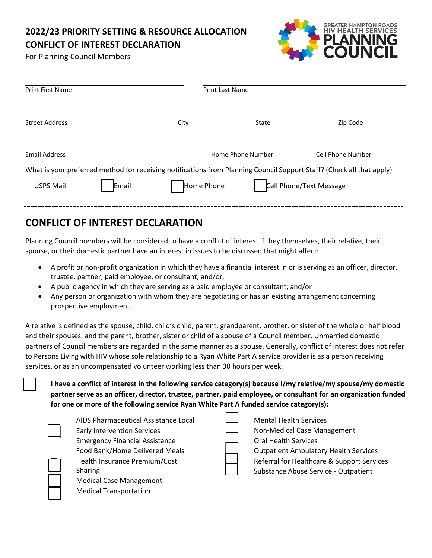## **2022/23 PRIORITY SETTING & RESOURCE ALLOCATION CONFLICT OF INTEREST DECLARATION**

For Planning Council Members



| <b>Print First Name</b><br><b>Print Last Name</b> |                                                                                                                       |
|---------------------------------------------------|-----------------------------------------------------------------------------------------------------------------------|
| State                                             | Zip Code                                                                                                              |
| Home Phone Number                                 | <b>Cell Phone Number</b>                                                                                              |
|                                                   | What is your preferred method for receiving notifications from Planning Council Support Staff? (Check all that apply) |
| Home Phone                                        | Cell Phone/Text Message                                                                                               |
|                                                   |                                                                                                                       |

## **CONFLICT OF INTEREST DECLARATION**

Planning Council members will be considered to have a conflict of interest if they themselves, their relative, their spouse, or their domestic partner have an interest in issues to be discussed that might affect:

- A profit or non-profit organization in which they have a financial interest in or is serving as an officer, director, trustee, partner, paid employee, or consultant; and/or,
- A public agency in which they are serving as a paid employee or consultant; and/or
- Any person or organization with whom they are negotiating or has an existing arrangement concerning prospective employment.

A relative is defined as the spouse, child, child's child, parent, grandparent, brother, or sister of the whole or half blood and their spouses, and the parent, brother, sister or child of a spouse of a Council member. Unmarried domestic partners of Council members are regarded in the same manner as a spouse. Generally, conflict of interest does not refer to Persons Living with HIV whose sole relationship to a Ryan White Part A service provider is as a person receiving services, or as an uncompensated volunteer working less than 30 hours per week.

 **I have a conflict of interest in the following service category(s) because I/my relative/my spouse/my domestic partner serve as an officer, director, trustee, partner, paid employee, or consultant for an organization funded for one or more of the following service Ryan White Part A funded service category(s):**

 AIDS Pharmaceutical Assistance Local Early Intervention Services Emergency Financial Assistance Food Bank/Home Delivered Meals Health Insurance Premium/Cost Sharing Medical Case Management Medical Transportation